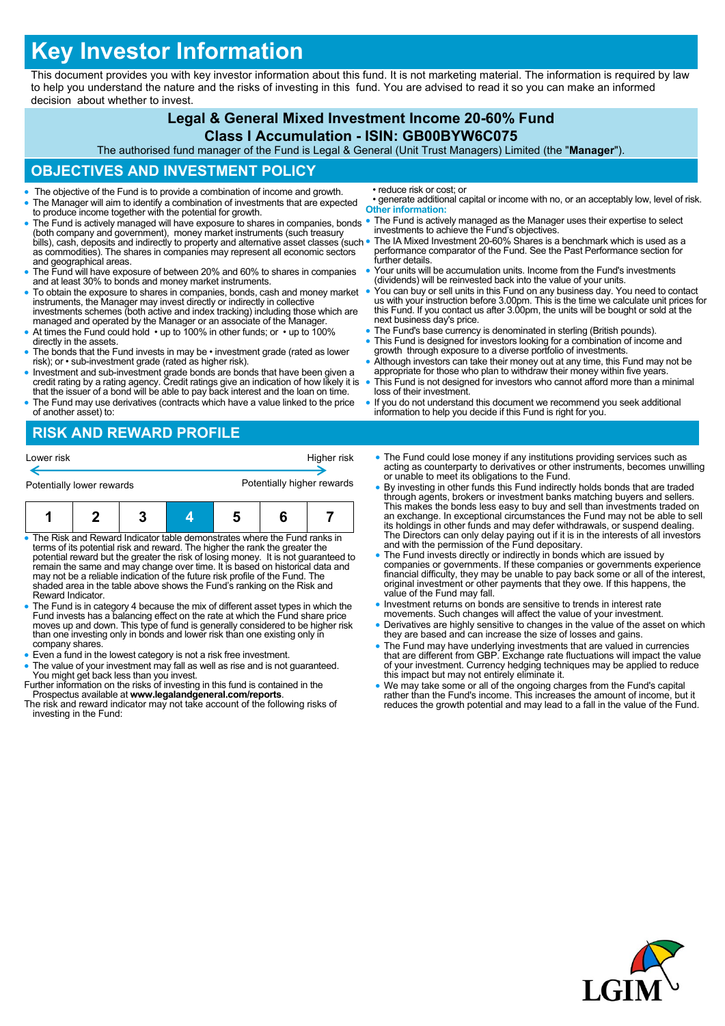# **Key Investor Information**

This document provides you with key investor information about this fund. It is not marketing material. The information is required by law to help you understand the nature and the risks of investing in this fund. You are advised to read it so you can make an informed decision about whether to invest.

#### **Legal & General Mixed Investment Income 20-60% Fund**

#### **Class I Accumulation - ISIN: GB00BYW6C075**

The authorised fund manager of the Fund is Legal & General (Unit Trust Managers) Limited (the "**Manager**").

## **OBJECTIVES AND INVESTMENT POLICY**

- The objective of the Fund is to provide a combination of income and growth.
- The Manager will aim to identify a combination of investments that are expected to produce income together with the potential for growth.
- The Fund is actively managed will have exposure to shares in companies, bonds (both company and government), money market instruments (such treasury bills), cash, deposits and indirectly to property and alternative asset classes (such • as commodities). The shares in companies may represent all economic sectors and geographical areas.
- The Fund will have exposure of between 20% and 60% to shares in companies and at least 30% to bonds and money market instruments.
- To obtain the exposure to shares in companies, bonds, cash and money market instruments, the Manager may invest directly or indirectly in collective investments schemes (both active and index tracking) including those wh
- At times the Fund could hold up to 100% in other funds; or up to 100%
- directly in the assets. The bonds that the Fund invests in may be • investment grade (rated as lower risk); or • sub-investment grade (rated as higher risk).
- Investment and sub-investment grade bonds are bonds that have been given a credit rating by a rating agency. Credit ratings give an indication of how likely it is that the issuer of a bond will be able to pay back intere
- The Fund may use derivatives (contracts which have a value linked to the price of another asset) to:

# **RISK AND REWARD PROFILE**

| Lower risk                | Higher risk                |
|---------------------------|----------------------------|
| Potentially lower rewards | Potentially higher rewards |

|--|--|--|--|--|--|

- The Risk and Reward Indicator table demonstrates where the Fund ranks in terms of its potential risk and reward. The higher the rank the greater the potential reward but the greater the risk of losing money. It is not guaranteed to remain the same and may change over time. It is based on historical data and may not be a reliable indication of the future risk profile of the Fund. The shaded area in the table above shows the Fund's ranking on the Risk and Reward Indicator.
- The Fund is in category 4 because the mix of different asset types in which the Fund invests has a balancing effect on the rate at which the Fund share price moves up and down. This type of fund is generally considered to be higher risk than one investing only in bonds and lower risk than one existing only in company shares.
- Even a fund in the lowest category is not a risk free investment.
- The value of your investment may fall as well as rise and is not guaranteed. You might get back less than you invest. Further information on the risks of investing in this fund is contained in the
- Prospectus available at **www.legalandgeneral.com/reports**. The risk and reward indicator may not take account of the following risks of
- investing in the Fund:
- reduce risk or cost; or
- generate additional capital or income with no, or an acceptably low, level of risk. **Other information:**
- The Fund is actively managed as the Manager uses their expertise to select investments to achieve the Fund's objectives.
- The IA Mixed Investment 20-60% Shares is a benchmark which is used as a performance comparator of the Fund. See the Past Performance section for further details.
- Your units will be accumulation units. Income from the Fund's investments (dividends) will be reinvested back into the value of your units.
- You can buy or sell units in this Fund on any business day. You need to contact us with your instruction before 3.00pm. This is the time we calculate unit prices for this Fund. If you contact us after 3.00pm, the units will be bought or sold at the next business day's price.
- The Fund's base currency is denominated in sterling (British pounds).
- This Fund is designed for investors looking for a combination of income and growth through exposure to a diverse portfolio of investments.
- Although investors can take their money out at any time, this Fund may not be appropriate for those who plan to withdraw their money within five years.
- This Fund is not designed for investors who cannot afford more than a minimal loss of their investment.
- If you do not understand this document we recommend you seek additional information to help you decide if this Fund is right for you.
- The Fund could lose money if any institutions providing services such as acting as counterparty to derivatives or other instruments, becomes unwilling or unable to meet its obligations to the Fund.
- By investing in other funds this Fund indirectly holds bonds that are traded through agents, brokers or investment banks matching buyers and sellers. This makes the bonds less easy to buy and sell than investments traded on an exchange. In exceptional circumstances the Fund may not be able to sell its holdings in other funds and may defer withdrawals, or suspend dealing. The Directors can only delay paying out if it is in the interests of all investors and with the permission of the Fund depositary.
- The Fund invests directly or indirectly in bonds which are issued by companies or governments. If these companies or governments experience financial difficulty, they may be unable to pay back some or all of the interest, original investment or other payments that they owe. If this happens, the value of the Fund may fall.
- Investment returns on bonds are sensitive to trends in interest rate movements. Such changes will affect the value of your investment.
- Derivatives are highly sensitive to changes in the value of the asset on which they are based and can increase the size of losses and gains.
- The Fund may have underlying investments that are valued in currencies that are different from GBP. Exchange rate fluctuations will impact the value of your investment. Currency hedging techniques may be applied to reduce this impact but may not entirely eliminate it.
- We may take some or all of the ongoing charges from the Fund's capital rather than the Fund's income. This increases the amount of income, but it reduces the growth potential and may lead to a fall in the value of the Fund.